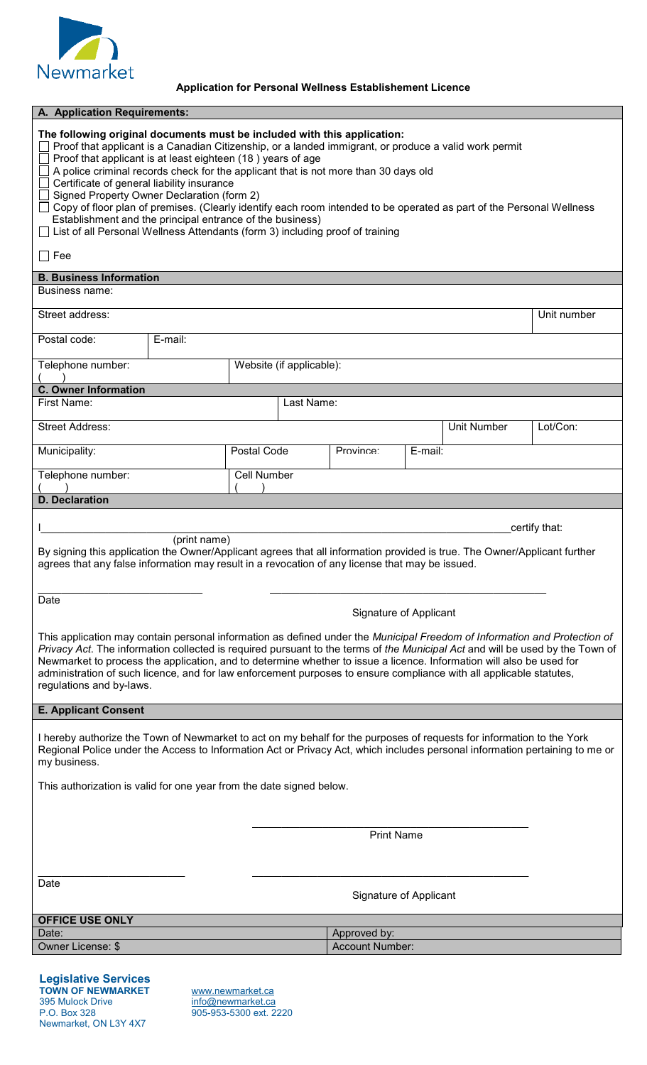

## **Application for Personal Wellness Establishement Licence**

| A. Application Requirements:                                                                                                                                                                                                                                                                                                                                                                                                                                                                                                                                                                                                                                                                              |                        |                    |            |                          |         |                    |               |  |
|-----------------------------------------------------------------------------------------------------------------------------------------------------------------------------------------------------------------------------------------------------------------------------------------------------------------------------------------------------------------------------------------------------------------------------------------------------------------------------------------------------------------------------------------------------------------------------------------------------------------------------------------------------------------------------------------------------------|------------------------|--------------------|------------|--------------------------|---------|--------------------|---------------|--|
| The following original documents must be included with this application:<br>Proof that applicant is a Canadian Citizenship, or a landed immigrant, or produce a valid work permit<br>Proof that applicant is at least eighteen (18) years of age<br>A police criminal records check for the applicant that is not more than 30 days old<br>Certificate of general liability insurance<br>Signed Property Owner Declaration (form 2)<br>Copy of floor plan of premises. (Clearly identify each room intended to be operated as part of the Personal Wellness<br>Establishment and the principal entrance of the business)<br>List of all Personal Wellness Attendants (form 3) including proof of training |                        |                    |            |                          |         |                    |               |  |
| $\Box$ Fee                                                                                                                                                                                                                                                                                                                                                                                                                                                                                                                                                                                                                                                                                                |                        |                    |            |                          |         |                    |               |  |
| <b>B. Business Information</b><br>Business name:                                                                                                                                                                                                                                                                                                                                                                                                                                                                                                                                                                                                                                                          |                        |                    |            |                          |         |                    |               |  |
|                                                                                                                                                                                                                                                                                                                                                                                                                                                                                                                                                                                                                                                                                                           |                        |                    |            |                          |         |                    |               |  |
| Street address:<br>Unit number                                                                                                                                                                                                                                                                                                                                                                                                                                                                                                                                                                                                                                                                            |                        |                    |            |                          |         |                    |               |  |
| Postal code:                                                                                                                                                                                                                                                                                                                                                                                                                                                                                                                                                                                                                                                                                              | E-mail:                |                    |            |                          |         |                    |               |  |
| Telephone number:                                                                                                                                                                                                                                                                                                                                                                                                                                                                                                                                                                                                                                                                                         |                        |                    |            | Website (if applicable): |         |                    |               |  |
| <b>C. Owner Information</b><br>First Name:                                                                                                                                                                                                                                                                                                                                                                                                                                                                                                                                                                                                                                                                |                        |                    | Last Name: |                          |         |                    |               |  |
| <b>Street Address:</b>                                                                                                                                                                                                                                                                                                                                                                                                                                                                                                                                                                                                                                                                                    |                        |                    |            |                          |         | <b>Unit Number</b> | Lot/Con:      |  |
| Municipality:                                                                                                                                                                                                                                                                                                                                                                                                                                                                                                                                                                                                                                                                                             |                        | Postal Code        |            | Province:                | E-mail: |                    |               |  |
|                                                                                                                                                                                                                                                                                                                                                                                                                                                                                                                                                                                                                                                                                                           |                        |                    |            |                          |         |                    |               |  |
| Telephone number:                                                                                                                                                                                                                                                                                                                                                                                                                                                                                                                                                                                                                                                                                         |                        | <b>Cell Number</b> |            |                          |         |                    |               |  |
| <b>D.</b> Declaration                                                                                                                                                                                                                                                                                                                                                                                                                                                                                                                                                                                                                                                                                     |                        |                    |            |                          |         |                    |               |  |
|                                                                                                                                                                                                                                                                                                                                                                                                                                                                                                                                                                                                                                                                                                           |                        |                    |            |                          |         |                    | certify that: |  |
| (print name)<br>By signing this application the Owner/Applicant agrees that all information provided is true. The Owner/Applicant further<br>agrees that any false information may result in a revocation of any license that may be issued.                                                                                                                                                                                                                                                                                                                                                                                                                                                              |                        |                    |            |                          |         |                    |               |  |
| Date<br>Signature of Applicant                                                                                                                                                                                                                                                                                                                                                                                                                                                                                                                                                                                                                                                                            |                        |                    |            |                          |         |                    |               |  |
| This application may contain personal information as defined under the Municipal Freedom of Information and Protection of<br>Privacy Act. The information collected is required pursuant to the terms of the Municipal Act and will be used by the Town of<br>Newmarket to process the application, and to determine whether to issue a licence. Information will also be used for<br>administration of such licence, and for law enforcement purposes to ensure compliance with all applicable statutes,<br>regulations and by-laws.                                                                                                                                                                     |                        |                    |            |                          |         |                    |               |  |
| <b>E. Applicant Consent</b>                                                                                                                                                                                                                                                                                                                                                                                                                                                                                                                                                                                                                                                                               |                        |                    |            |                          |         |                    |               |  |
| I hereby authorize the Town of Newmarket to act on my behalf for the purposes of requests for information to the York<br>Regional Police under the Access to Information Act or Privacy Act, which includes personal information pertaining to me or<br>my business.                                                                                                                                                                                                                                                                                                                                                                                                                                      |                        |                    |            |                          |         |                    |               |  |
| This authorization is valid for one year from the date signed below.                                                                                                                                                                                                                                                                                                                                                                                                                                                                                                                                                                                                                                      |                        |                    |            |                          |         |                    |               |  |
|                                                                                                                                                                                                                                                                                                                                                                                                                                                                                                                                                                                                                                                                                                           |                        |                    |            |                          |         |                    |               |  |
| <b>Print Name</b>                                                                                                                                                                                                                                                                                                                                                                                                                                                                                                                                                                                                                                                                                         |                        |                    |            |                          |         |                    |               |  |
|                                                                                                                                                                                                                                                                                                                                                                                                                                                                                                                                                                                                                                                                                                           |                        |                    |            |                          |         |                    |               |  |
| Date                                                                                                                                                                                                                                                                                                                                                                                                                                                                                                                                                                                                                                                                                                      |                        |                    |            |                          |         |                    |               |  |
| Signature of Applicant                                                                                                                                                                                                                                                                                                                                                                                                                                                                                                                                                                                                                                                                                    |                        |                    |            |                          |         |                    |               |  |
| <b>OFFICE USE ONLY</b><br>Date:                                                                                                                                                                                                                                                                                                                                                                                                                                                                                                                                                                                                                                                                           |                        |                    |            | Approved by:             |         |                    |               |  |
| <b>Owner License: \$</b>                                                                                                                                                                                                                                                                                                                                                                                                                                                                                                                                                                                                                                                                                  | <b>Account Number:</b> |                    |            |                          |         |                    |               |  |
|                                                                                                                                                                                                                                                                                                                                                                                                                                                                                                                                                                                                                                                                                                           |                        |                    |            |                          |         |                    |               |  |

**Legislative Services TOWN OF NEWMARKET** [www.newmarket.ca](http://www.newmarket.ca/) 395 Mulock Drive <u>[info@newmarket.ca](mailto:info@newmarket.ca)</u> P.O. Box 328 905-953-5300 ext. 2220 Newmarket, ON L3Y 4X7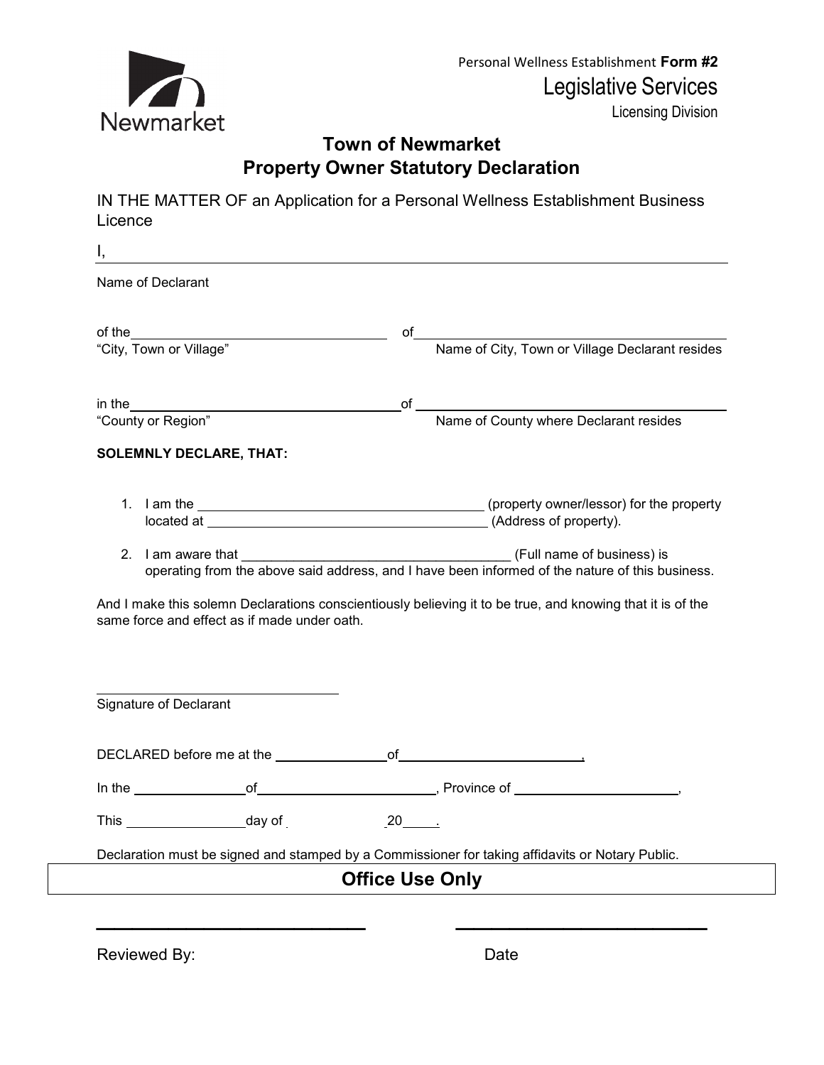

Personal Wellness Establishment **Form #2** Legislative Services

Licensing Division

## **Town of Newmarket Property Owner Statutory Declaration**

IN THE MATTER OF an Application for a Personal Wellness Establishment Business Licence

| Ι,<br>Name of Declarant                      |                                                                                                            |
|----------------------------------------------|------------------------------------------------------------------------------------------------------------|
|                                              |                                                                                                            |
| of the $\qquad \qquad$                       | of<br>Name of City, Town or Village Declarant resides                                                      |
| "City, Town or Village"                      |                                                                                                            |
| in the $\_\_$                                | Name of County where Declarant resides<br>of                                                               |
| "County or Region"                           |                                                                                                            |
| <b>SOLEMNLY DECLARE, THAT:</b>               |                                                                                                            |
|                                              |                                                                                                            |
|                                              | located at (Address of property).                                                                          |
|                                              |                                                                                                            |
| 2. I am aware that                           | (Full name of business) is                                                                                 |
|                                              | operating from the above said address, and I have been informed of the nature of this business.            |
| same force and effect as if made under oath. | And I make this solemn Declarations conscientiously believing it to be true, and knowing that it is of the |
| Signature of Declarant                       |                                                                                                            |
|                                              |                                                                                                            |
|                                              |                                                                                                            |
|                                              |                                                                                                            |
|                                              | $20$ $\overline{\phantom{1}}$                                                                              |
| This ________________________day of          | Declaration must be signed and stamped by a Commissioner for taking affidavits or Notary Public.           |

Reviewed By: The Contract of the Date of the Date Date